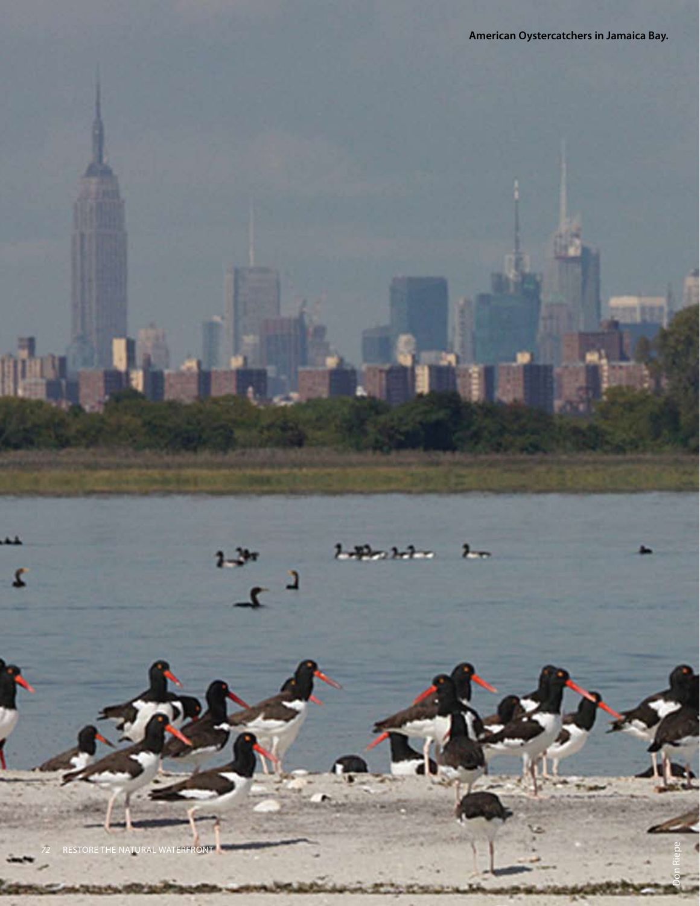Don Riepe



 $2 - 2$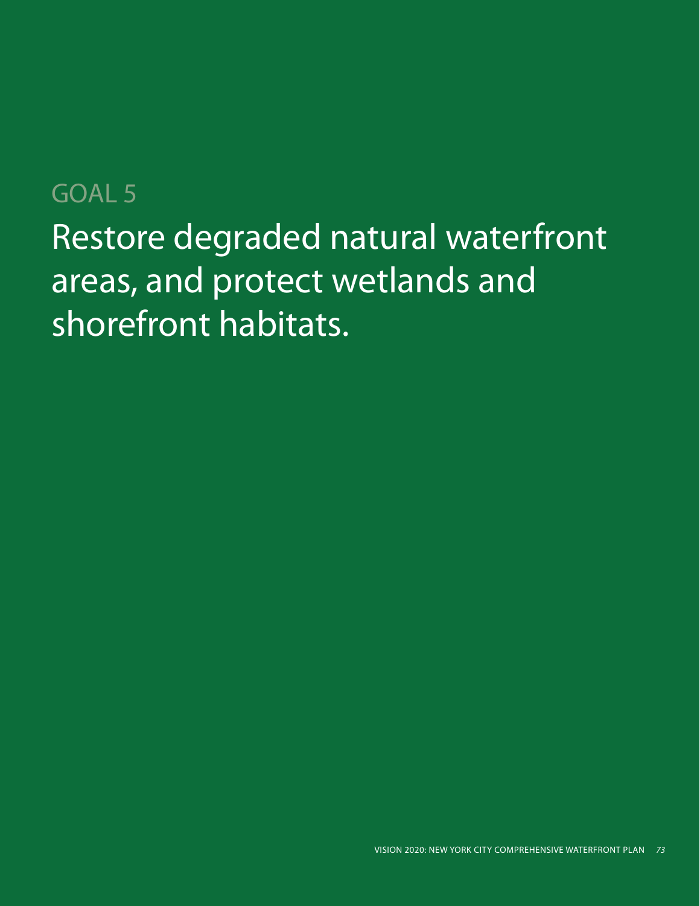# Restore degraded natural waterfront areas, and protect wetlands and shorefront habitats. GOAL 5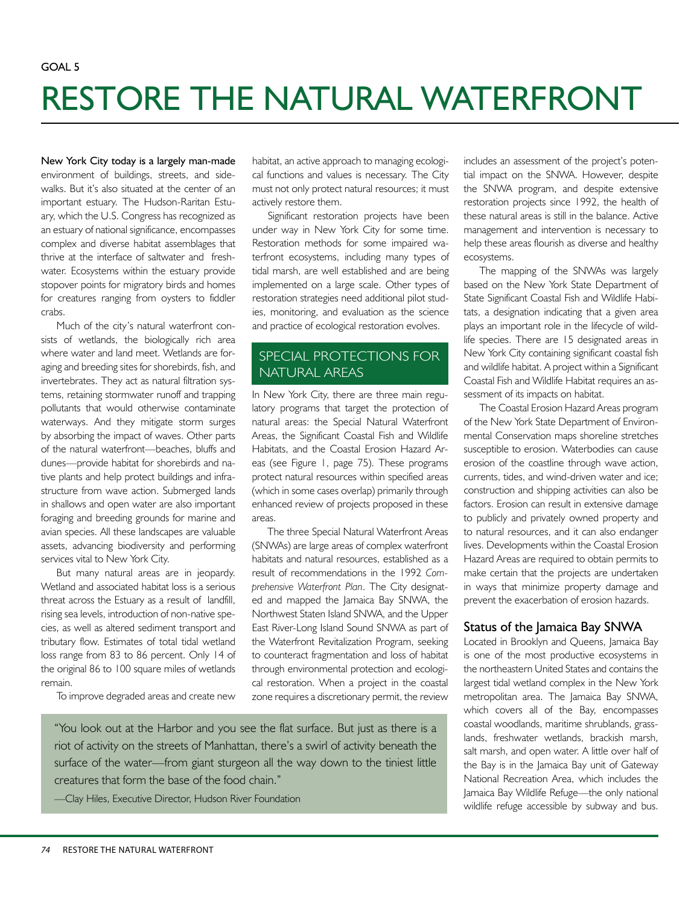## RESTORE THE NATURAL WATERFRONT

New York City today is a largely man-made environment of buildings, streets, and sidewalks. But it's also situated at the center of an important estuary. The Hudson-Raritan Estuary, which the U.S. Congress has recognized as an estuary of national significance, encompasses complex and diverse habitat assemblages that thrive at the interface of saltwater and freshwater. Ecosystems within the estuary provide stopover points for migratory birds and homes for creatures ranging from oysters to fiddler crabs.

Much of the city's natural waterfront consists of wetlands, the biologically rich area where water and land meet. Wetlands are foraging and breeding sites for shorebirds, fish, and invertebrates. They act as natural filtration systems, retaining stormwater runoff and trapping pollutants that would otherwise contaminate waterways. And they mitigate storm surges by absorbing the impact of waves. Other parts of the natural waterfront—beaches, bluffs and dunes—provide habitat for shorebirds and native plants and help protect buildings and infrastructure from wave action. Submerged lands in shallows and open water are also important foraging and breeding grounds for marine and avian species. All these landscapes are valuable assets, advancing biodiversity and performing services vital to New York City.

But many natural areas are in jeopardy. Wetland and associated habitat loss is a serious threat across the Estuary as a result of landfill, rising sea levels, introduction of non-native species, as well as altered sediment transport and tributary flow. Estimates of total tidal wetland loss range from 83 to 86 percent. Only 14 of the original 86 to 100 square miles of wetlands remain.

To improve degraded areas and create new

habitat, an active approach to managing ecological functions and values is necessary. The City must not only protect natural resources; it must actively restore them.

Significant restoration projects have been under way in New York City for some time. Restoration methods for some impaired waterfront ecosystems, including many types of tidal marsh, are well established and are being implemented on a large scale. Other types of restoration strategies need additional pilot studies, monitoring, and evaluation as the science and practice of ecological restoration evolves.

#### SPECIAL PROTECTIONS FOR NATURAL AREAS

In New York City, there are three main regulatory programs that target the protection of natural areas: the Special Natural Waterfront Areas, the Significant Coastal Fish and Wildlife Habitats, and the Coastal Erosion Hazard Areas (see Figure 1, page 75). These programs protect natural resources within specified areas (which in some cases overlap) primarily through enhanced review of projects proposed in these areas.

The three Special Natural Waterfront Areas (SNWAs) are large areas of complex waterfront habitats and natural resources, established as a result of recommendations in the 1992 *Comprehensive Waterfront Plan*. The City designated and mapped the Jamaica Bay SNWA, the Northwest Staten Island SNWA, and the Upper East River-Long Island Sound SNWA as part of the Waterfront Revitalization Program, seeking to counteract fragmentation and loss of habitat through environmental protection and ecological restoration. When a project in the coastal zone requires a discretionary permit, the review

"You look out at the Harbor and you see the flat surface. But just as there is a riot of activity on the streets of Manhattan, there's a swirl of activity beneath the surface of the water—from giant sturgeon all the way down to the tiniest little creatures that form the base of the food chain."

—Clay Hiles, Executive Director, Hudson River Foundation

includes an assessment of the project's potential impact on the SNWA. However, despite the SNWA program, and despite extensive restoration projects since 1992, the health of these natural areas is still in the balance. Active management and intervention is necessary to help these areas flourish as diverse and healthy ecosystems.

The mapping of the SNWAs was largely based on the New York State Department of State Significant Coastal Fish and Wildlife Habitats, a designation indicating that a given area plays an important role in the lifecycle of wildlife species. There are 15 designated areas in New York City containing significant coastal fish and wildlife habitat. A project within a Significant Coastal Fish and Wildlife Habitat requires an assessment of its impacts on habitat.

The Coastal Erosion Hazard Areas program of the New York State Department of Environmental Conservation maps shoreline stretches susceptible to erosion. Waterbodies can cause erosion of the coastline through wave action, currents, tides, and wind-driven water and ice; construction and shipping activities can also be factors. Erosion can result in extensive damage to publicly and privately owned property and to natural resources, and it can also endanger lives. Developments within the Coastal Erosion Hazard Areas are required to obtain permits to make certain that the projects are undertaken in ways that minimize property damage and prevent the exacerbation of erosion hazards.

#### Status of the Jamaica Bay SNWA

Located in Brooklyn and Queens, Jamaica Bay is one of the most productive ecosystems in the northeastern United States and contains the largest tidal wetland complex in the New York metropolitan area. The Jamaica Bay SNWA, which covers all of the Bay, encompasses coastal woodlands, maritime shrublands, grasslands, freshwater wetlands, brackish marsh, salt marsh, and open water. A little over half of the Bay is in the Jamaica Bay unit of Gateway National Recreation Area, which includes the Jamaica Bay Wildlife Refuge—the only national wildlife refuge accessible by subway and bus.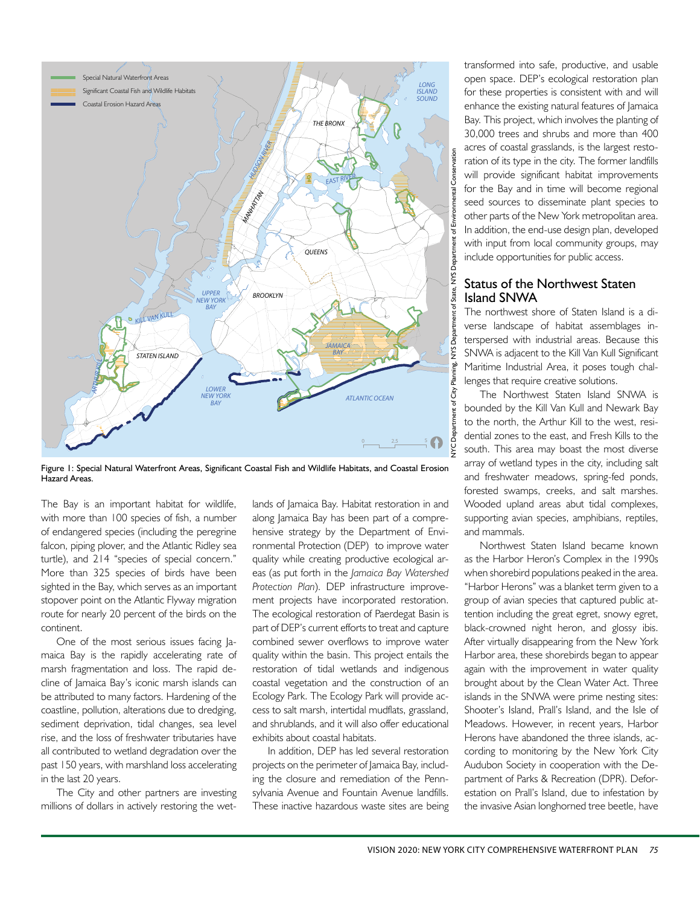

Figure 1: Special Natural Waterfront Areas, Significant Coastal Fish and Wildlife Habitats, and Coastal Erosion Hazard Areas.

The Bay is an important habitat for wildlife, with more than 100 species of fish, a number of endangered species (including the peregrine falcon, piping plover, and the Atlantic Ridley sea turtle), and 214 "species of special concern." More than 325 species of birds have been sighted in the Bay, which serves as an important stopover point on the Atlantic Flyway migration route for nearly 20 percent of the birds on the continent.

One of the most serious issues facing Jamaica Bay is the rapidly accelerating rate of marsh fragmentation and loss. The rapid decline of Jamaica Bay's iconic marsh islands can be attributed to many factors. Hardening of the coastline, pollution, alterations due to dredging, sediment deprivation, tidal changes, sea level rise, and the loss of freshwater tributaries have all contributed to wetland degradation over the past 150 years, with marshland loss accelerating in the last 20 years.

The City and other partners are investing millions of dollars in actively restoring the wetlands of Jamaica Bay. Habitat restoration in and along Jamaica Bay has been part of a comprehensive strategy by the Department of Environmental Protection (DEP) to improve water quality while creating productive ecological areas (as put forth in the *Jamaica Bay Watershed Protection Plan*). DEP infrastructure improvement projects have incorporated restoration. The ecological restoration of Paerdegat Basin is part of DEP's current efforts to treat and capture combined sewer overflows to improve water quality within the basin. This project entails the restoration of tidal wetlands and indigenous coastal vegetation and the construction of an Ecology Park. The Ecology Park will provide access to salt marsh, intertidal mudflats, grassland, and shrublands, and it will also offer educational exhibits about coastal habitats.

In addition, DEP has led several restoration projects on the perimeter of Jamaica Bay, including the closure and remediation of the Pennsylvania Avenue and Fountain Avenue landfills. These inactive hazardous waste sites are being transformed into safe, productive, and usable open space. DEP's ecological restoration plan for these properties is consistent with and will enhance the existing natural features of Jamaica Bay. This project, which involves the planting of 30,000 trees and shrubs and more than 400 acres of coastal grasslands, is the largest restoration of its type in the city. The former landfills will provide significant habitat improvements for the Bay and in time will become regional seed sources to disseminate plant species to other parts of the New York metropolitan area. In addition, the end-use design plan, developed with input from local community groups, may include opportunities for public access.

#### Status of the Northwest Staten Island SNWA

The northwest shore of Staten Island is a diverse landscape of habitat assemblages interspersed with industrial areas. Because this SNWA is adjacent to the Kill Van Kull Significant Maritime Industrial Area, it poses tough challenges that require creative solutions.

The Northwest Staten Island SNWA is bounded by the Kill Van Kull and Newark Bay to the north, the Arthur Kill to the west, residential zones to the east, and Fresh Kills to the south. This area may boast the most diverse array of wetland types in the city, including salt and freshwater meadows, spring-fed ponds, forested swamps, creeks, and salt marshes. Wooded upland areas abut tidal complexes, supporting avian species, amphibians, reptiles, and mammals.

Northwest Staten Island became known as the Harbor Heron's Complex in the 1990s when shorebird populations peaked in the area. "Harbor Herons" was a blanket term given to a group of avian species that captured public attention including the great egret, snowy egret, black-crowned night heron, and glossy ibis. After virtually disappearing from the New York Harbor area, these shorebirds began to appear again with the improvement in water quality brought about by the Clean Water Act. Three islands in the SNWA were prime nesting sites: Shooter's Island, Prall's Island, and the Isle of Meadows. However, in recent years, Harbor Herons have abandoned the three islands, according to monitoring by the New York City Audubon Society in cooperation with the Department of Parks & Recreation (DPR). Deforestation on Prall's Island, due to infestation by the invasive Asian longhorned tree beetle, have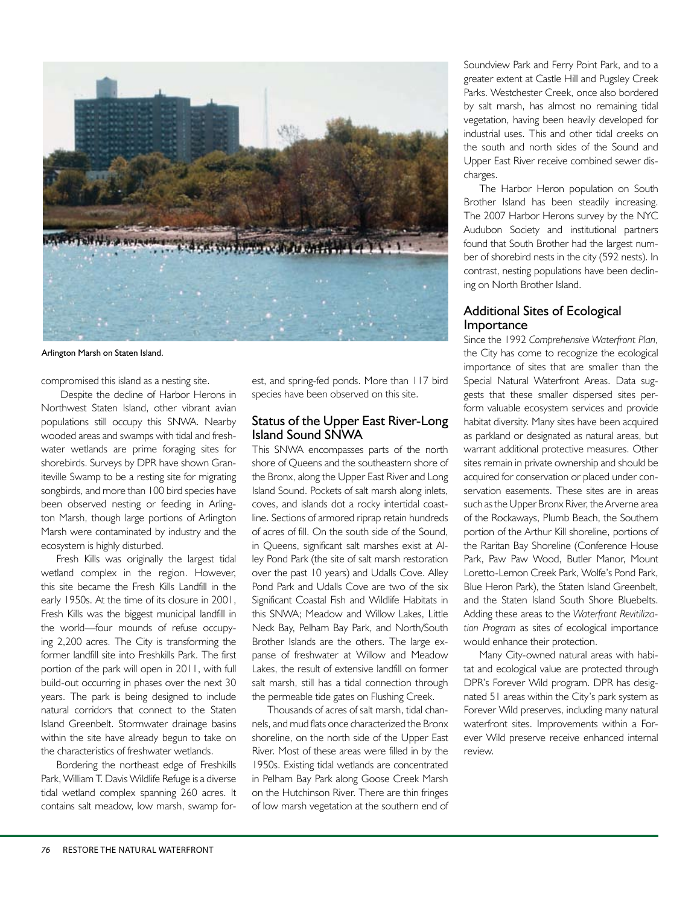

Arlington Marsh on Staten Island.

compromised this island as a nesting site.

 Despite the decline of Harbor Herons in Northwest Staten Island, other vibrant avian populations still occupy this SNWA. Nearby wooded areas and swamps with tidal and freshwater wetlands are prime foraging sites for shorebirds. Surveys by DPR have shown Graniteville Swamp to be a resting site for migrating songbirds, and more than 100 bird species have been observed nesting or feeding in Arlington Marsh, though large portions of Arlington Marsh were contaminated by industry and the ecosystem is highly disturbed.

Fresh Kills was originally the largest tidal wetland complex in the region. However, this site became the Fresh Kills Landfill in the early 1950s. At the time of its closure in 2001, Fresh Kills was the biggest municipal landfill in the world—four mounds of refuse occupying 2,200 acres. The City is transforming the former landfill site into Freshkills Park. The first portion of the park will open in 2011, with full build-out occurring in phases over the next 30 years. The park is being designed to include natural corridors that connect to the Staten Island Greenbelt. Stormwater drainage basins within the site have already begun to take on the characteristics of freshwater wetlands.

Bordering the northeast edge of Freshkills Park, William T. Davis Wildlife Refuge is a diverse tidal wetland complex spanning 260 acres. It contains salt meadow, low marsh, swamp forest, and spring-fed ponds. More than 117 bird species have been observed on this site.

#### Status of the Upper East River-Long Island Sound SNWA

This SNWA encompasses parts of the north shore of Queens and the southeastern shore of the Bronx, along the Upper East River and Long Island Sound. Pockets of salt marsh along inlets, coves, and islands dot a rocky intertidal coastline. Sections of armored riprap retain hundreds of acres of fill. On the south side of the Sound, in Queens, significant salt marshes exist at Alley Pond Park (the site of salt marsh restoration over the past 10 years) and Udalls Cove. Alley Pond Park and Udalls Cove are two of the six Significant Coastal Fish and Wildlife Habitats in this SNWA; Meadow and Willow Lakes, Little Neck Bay, Pelham Bay Park, and North/South Brother Islands are the others. The large expanse of freshwater at Willow and Meadow Lakes, the result of extensive landfill on former salt marsh, still has a tidal connection through the permeable tide gates on Flushing Creek.

Thousands of acres of salt marsh, tidal channels, and mud flats once characterized the Bronx shoreline, on the north side of the Upper East River. Most of these areas were filled in by the 1950s. Existing tidal wetlands are concentrated in Pelham Bay Park along Goose Creek Marsh on the Hutchinson River. There are thin fringes of low marsh vegetation at the southern end of Soundview Park and Ferry Point Park, and to a greater extent at Castle Hill and Pugsley Creek Parks. Westchester Creek, once also bordered by salt marsh, has almost no remaining tidal vegetation, having been heavily developed for industrial uses. This and other tidal creeks on the south and north sides of the Sound and Upper East River receive combined sewer discharges.

The Harbor Heron population on South Brother Island has been steadily increasing. The 2007 Harbor Herons survey by the NYC Audubon Society and institutional partners found that South Brother had the largest number of shorebird nests in the city (592 nests). In contrast, nesting populations have been declining on North Brother Island.

#### Additional Sites of Ecological Importance

Since the 1992 *Comprehensive Waterfront Plan,* the City has come to recognize the ecological importance of sites that are smaller than the Special Natural Waterfront Areas. Data suggests that these smaller dispersed sites perform valuable ecosystem services and provide habitat diversity. Many sites have been acquired as parkland or designated as natural areas, but warrant additional protective measures. Other sites remain in private ownership and should be acquired for conservation or placed under conservation easements. These sites are in areas such as the Upper Bronx River, the Arverne area of the Rockaways, Plumb Beach, the Southern portion of the Arthur Kill shoreline, portions of the Raritan Bay Shoreline (Conference House Park, Paw Paw Wood, Butler Manor, Mount Loretto-Lemon Creek Park, Wolfe's Pond Park, Blue Heron Park), the Staten Island Greenbelt, and the Staten Island South Shore Bluebelts. Adding these areas to the *Waterfront Revitilization Program* as sites of ecological importance would enhance their protection.

Many City-owned natural areas with habitat and ecological value are protected through DPR's Forever Wild program. DPR has designated 51 areas within the City's park system as Forever Wild preserves, including many natural waterfront sites. Improvements within a Forever Wild preserve receive enhanced internal review.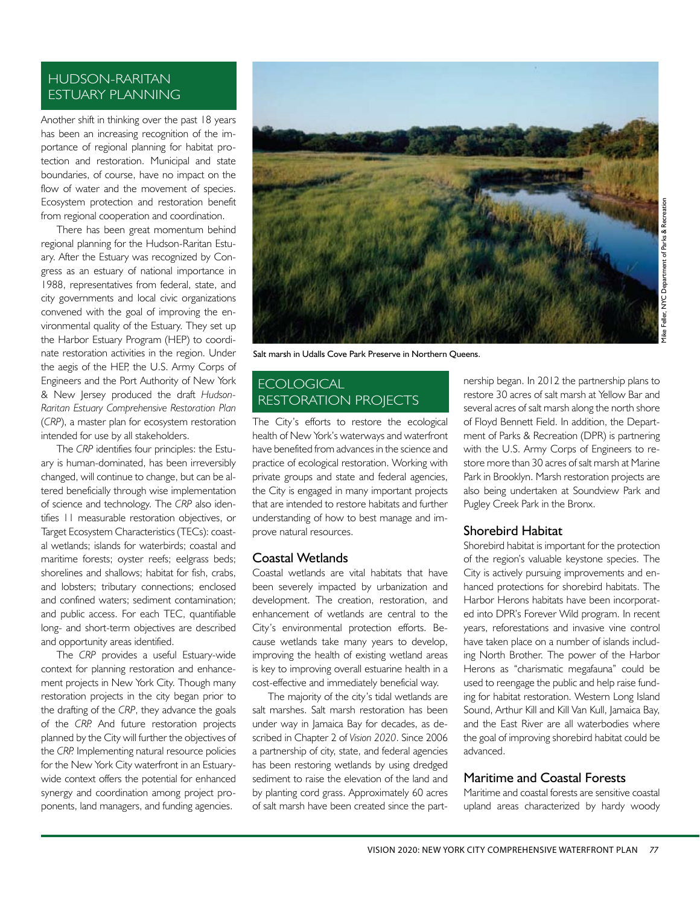#### HUDSON-RARITAN ESTUARY PLANNING

Another shift in thinking over the past 18 years has been an increasing recognition of the importance of regional planning for habitat protection and restoration. Municipal and state boundaries, of course, have no impact on the flow of water and the movement of species. Ecosystem protection and restoration benefit from regional cooperation and coordination.

There has been great momentum behind regional planning for the Hudson-Raritan Estuary. After the Estuary was recognized by Congress as an estuary of national importance in 1988, representatives from federal, state, and city governments and local civic organizations convened with the goal of improving the environmental quality of the Estuary. They set up the Harbor Estuary Program (HEP) to coordinate restoration activities in the region. Under the aegis of the HEP, the U.S. Army Corps of Engineers and the Port Authority of New York & New Jersey produced the draft *Hudson-Raritan Estuary Comprehensive Restoration Plan* (*CRP*), a master plan for ecosystem restoration intended for use by all stakeholders.

The *CRP* identifies four principles: the Estuary is human-dominated, has been irreversibly changed, will continue to change, but can be altered beneficially through wise implementation of science and technology. The *CRP* also identifies 11 measurable restoration objectives, or Target Ecosystem Characteristics (TECs): coastal wetlands; islands for waterbirds; coastal and maritime forests; oyster reefs; eelgrass beds; shorelines and shallows; habitat for fish, crabs, and lobsters; tributary connections; enclosed and confined waters; sediment contamination; and public access. For each TEC, quantifiable long- and short-term objectives are described and opportunity areas identified.

The *CRP* provides a useful Estuary-wide context for planning restoration and enhancement projects in New York City. Though many restoration projects in the city began prior to the drafting of the *CRP*, they advance the goals of the *CRP.* And future restoration projects planned by the City will further the objectives of the *CRP.* Implementing natural resource policies for the New York City waterfront in an Estuarywide context offers the potential for enhanced synergy and coordination among project proponents, land managers, and funding agencies.



Salt marsh in Udalls Cove Park Preserve in Northern Queens.

#### ECOLOGICAL RESTORATION PROJECTS

The City's efforts to restore the ecological health of New York's waterways and waterfront have benefited from advances in the science and practice of ecological restoration. Working with private groups and state and federal agencies, the City is engaged in many important projects that are intended to restore habitats and further understanding of how to best manage and improve natural resources.

#### Coastal Wetlands

Coastal wetlands are vital habitats that have been severely impacted by urbanization and development. The creation, restoration, and enhancement of wetlands are central to the City's environmental protection efforts. Because wetlands take many years to develop, improving the health of existing wetland areas is key to improving overall estuarine health in a cost-effective and immediately beneficial way.

The majority of the city's tidal wetlands are salt marshes. Salt marsh restoration has been under way in Jamaica Bay for decades, as described in Chapter 2 of *Vision 2020*. Since 2006 a partnership of city, state, and federal agencies has been restoring wetlands by using dredged sediment to raise the elevation of the land and by planting cord grass. Approximately 60 acres of salt marsh have been created since the partnership began. In 2012 the partnership plans to restore 30 acres of salt marsh at Yellow Bar and several acres of salt marsh along the north shore of Floyd Bennett Field. In addition, the Department of Parks & Recreation (DPR) is partnering with the U.S. Army Corps of Engineers to restore more than 30 acres of salt marsh at Marine Park in Brooklyn. Marsh restoration projects are also being undertaken at Soundview Park and Pugley Creek Park in the Bronx.

#### Shorebird Habitat

Shorebird habitat is important for the protection of the region's valuable keystone species. The City is actively pursuing improvements and enhanced protections for shorebird habitats. The Harbor Herons habitats have been incorporated into DPR's Forever Wild program. In recent years, reforestations and invasive vine control have taken place on a number of islands including North Brother. The power of the Harbor Herons as "charismatic megafauna" could be used to reengage the public and help raise funding for habitat restoration. Western Long Island Sound, Arthur Kill and Kill Van Kull, Jamaica Bay, and the East River are all waterbodies where the goal of improving shorebird habitat could be advanced.

#### Maritime and Coastal Forests

Maritime and coastal forests are sensitive coastal upland areas characterized by hardy woody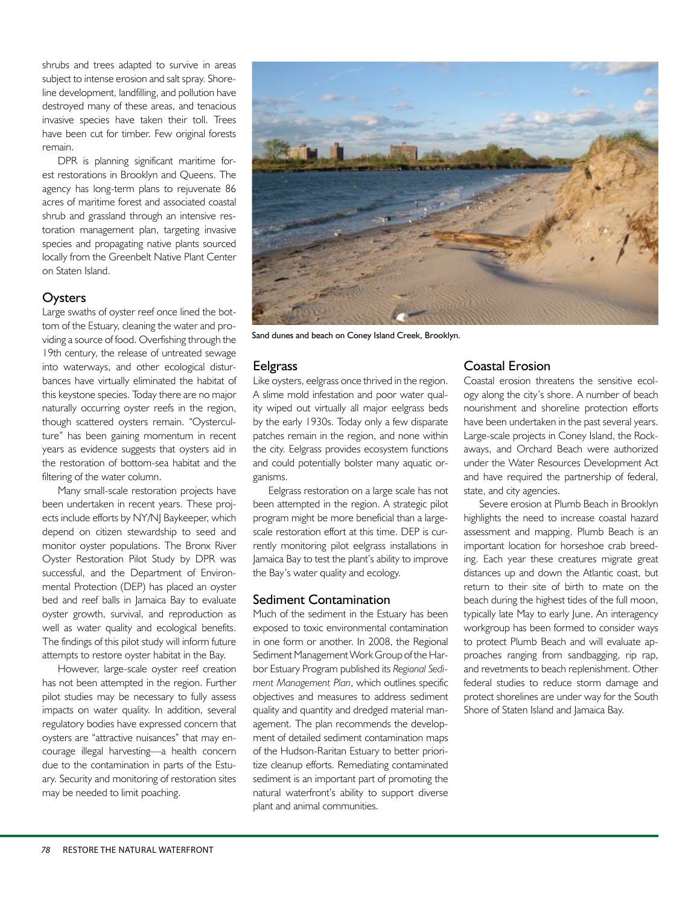shrubs and trees adapted to survive in areas subject to intense erosion and salt spray. Shoreline development, landfilling, and pollution have destroyed many of these areas, and tenacious invasive species have taken their toll. Trees have been cut for timber. Few original forests remain.

DPR is planning significant maritime forest restorations in Brooklyn and Queens. The agency has long-term plans to rejuvenate 86 acres of maritime forest and associated coastal shrub and grassland through an intensive restoration management plan, targeting invasive species and propagating native plants sourced locally from the Greenbelt Native Plant Center on Staten Island.

#### **Oysters**

Large swaths of oyster reef once lined the bottom of the Estuary, cleaning the water and providing a source of food. Overfishing through the 19th century, the release of untreated sewage into waterways, and other ecological disturbances have virtually eliminated the habitat of this keystone species. Today there are no major naturally occurring oyster reefs in the region, though scattered oysters remain. "Oysterculture" has been gaining momentum in recent years as evidence suggests that oysters aid in the restoration of bottom-sea habitat and the filtering of the water column.

Many small-scale restoration projects have been undertaken in recent years. These projects include efforts by NY/NJ Baykeeper, which depend on citizen stewardship to seed and monitor oyster populations. The Bronx River Oyster Restoration Pilot Study by DPR was successful, and the Department of Environmental Protection (DEP) has placed an oyster bed and reef balls in Jamaica Bay to evaluate oyster growth, survival, and reproduction as well as water quality and ecological benefits. The findings of this pilot study will inform future attempts to restore oyster habitat in the Bay.

However, large-scale oyster reef creation has not been attempted in the region. Further pilot studies may be necessary to fully assess impacts on water quality. In addition, several regulatory bodies have expressed concern that oysters are "attractive nuisances" that may encourage illegal harvesting—a health concern due to the contamination in parts of the Estuary. Security and monitoring of restoration sites may be needed to limit poaching.



Sand dunes and beach on Coney Island Creek, Brooklyn.

#### **Eelgrass**

Like oysters, eelgrass once thrived in the region. A slime mold infestation and poor water quality wiped out virtually all major eelgrass beds by the early 1930s. Today only a few disparate patches remain in the region, and none within the city. Eelgrass provides ecosystem functions and could potentially bolster many aquatic organisms.

Eelgrass restoration on a large scale has not been attempted in the region. A strategic pilot program might be more beneficial than a largescale restoration effort at this time. DEP is currently monitoring pilot eelgrass installations in Jamaica Bay to test the plant's ability to improve the Bay's water quality and ecology.

#### Sediment Contamination

Much of the sediment in the Estuary has been exposed to toxic environmental contamination in one form or another. In 2008, the Regional Sediment Management Work Group of the Harbor Estuary Program published its *Regional Sediment Management Plan*, which outlines specific objectives and measures to address sediment quality and quantity and dredged material management. The plan recommends the development of detailed sediment contamination maps of the Hudson-Raritan Estuary to better prioritize cleanup efforts. Remediating contaminated sediment is an important part of promoting the natural waterfront's ability to support diverse plant and animal communities.

#### Coastal Erosion

Coastal erosion threatens the sensitive ecology along the city's shore. A number of beach nourishment and shoreline protection efforts have been undertaken in the past several years. Large-scale projects in Coney Island, the Rockaways, and Orchard Beach were authorized under the Water Resources Development Act and have required the partnership of federal, state, and city agencies.

Severe erosion at Plumb Beach in Brooklyn highlights the need to increase coastal hazard assessment and mapping. Plumb Beach is an important location for horseshoe crab breeding. Each year these creatures migrate great distances up and down the Atlantic coast, but return to their site of birth to mate on the beach during the highest tides of the full moon, typically late May to early June. An interagency workgroup has been formed to consider ways to protect Plumb Beach and will evaluate approaches ranging from sandbagging, rip rap, and revetments to beach replenishment. Other federal studies to reduce storm damage and protect shorelines are under way for the South Shore of Staten Island and Jamaica Bay.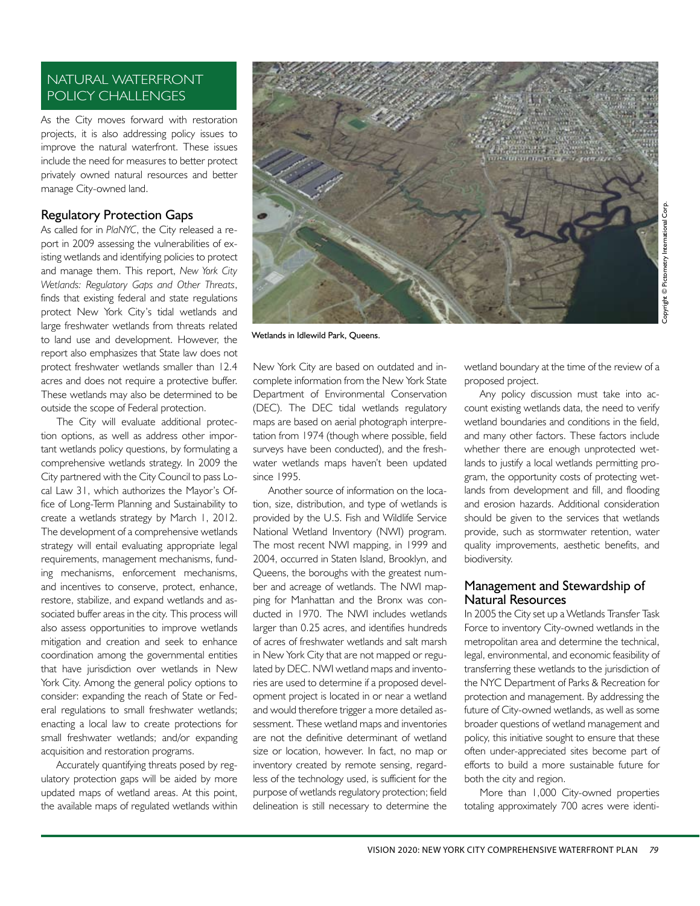#### NATURAL WATERFRONT POLICY CHALLENGES

As the City moves forward with restoration projects, it is also addressing policy issues to improve the natural waterfront. These issues include the need for measures to better protect privately owned natural resources and better manage City-owned land.

#### Regulatory Protection Gaps

As called for in *PlaNYC*, the City released a report in 2009 assessing the vulnerabilities of existing wetlands and identifying policies to protect and manage them. This report, *New York City Wetlands: Regulatory Gaps and Other Threats*, finds that existing federal and state regulations protect New York City's tidal wetlands and large freshwater wetlands from threats related to land use and development. However, the report also emphasizes that State law does not protect freshwater wetlands smaller than 12.4 acres and does not require a protective buffer. These wetlands may also be determined to be outside the scope of Federal protection.

The City will evaluate additional protection options, as well as address other important wetlands policy questions, by formulating a comprehensive wetlands strategy. In 2009 the City partnered with the City Council to pass Local Law 31, which authorizes the Mayor's Office of Long-Term Planning and Sustainability to create a wetlands strategy by March 1, 2012. The development of a comprehensive wetlands strategy will entail evaluating appropriate legal requirements, management mechanisms, funding mechanisms, enforcement mechanisms, and incentives to conserve, protect, enhance, restore, stabilize, and expand wetlands and associated buffer areas in the city. This process will also assess opportunities to improve wetlands mitigation and creation and seek to enhance coordination among the governmental entities that have jurisdiction over wetlands in New York City. Among the general policy options to consider: expanding the reach of State or Federal regulations to small freshwater wetlands; enacting a local law to create protections for small freshwater wetlands; and/or expanding acquisition and restoration programs.

Accurately quantifying threats posed by regulatory protection gaps will be aided by more updated maps of wetland areas. At this point, the available maps of regulated wetlands within



Wetlands in Idlewild Park, Queens.

New York City are based on outdated and incomplete information from the New York State Department of Environmental Conservation (DEC). The DEC tidal wetlands regulatory maps are based on aerial photograph interpretation from 1974 (though where possible, field surveys have been conducted), and the freshwater wetlands maps haven't been updated since 1995.

Another source of information on the location, size, distribution, and type of wetlands is provided by the U.S. Fish and Wildlife Service National Wetland Inventory (NWI) program. The most recent NWI mapping, in 1999 and 2004, occurred in Staten Island, Brooklyn, and Queens, the boroughs with the greatest number and acreage of wetlands. The NWI mapping for Manhattan and the Bronx was conducted in 1970. The NWI includes wetlands larger than 0.25 acres, and identifies hundreds of acres of freshwater wetlands and salt marsh in New York City that are not mapped or regulated by DEC. NWI wetland maps and inventories are used to determine if a proposed development project is located in or near a wetland and would therefore trigger a more detailed assessment. These wetland maps and inventories are not the definitive determinant of wetland size or location, however. In fact, no map or inventory created by remote sensing, regardless of the technology used, is sufficient for the purpose of wetlands regulatory protection; field delineation is still necessary to determine the

wetland boundary at the time of the review of a proposed project.

Any policy discussion must take into account existing wetlands data, the need to verify wetland boundaries and conditions in the field, and many other factors. These factors include whether there are enough unprotected wetlands to justify a local wetlands permitting program, the opportunity costs of protecting wetlands from development and fill, and flooding and erosion hazards. Additional consideration should be given to the services that wetlands provide, such as stormwater retention, water quality improvements, aesthetic benefits, and biodiversity.

#### Management and Stewardship of Natural Resources

In 2005 the City set up a Wetlands Transfer Task Force to inventory City-owned wetlands in the metropolitan area and determine the technical, legal, environmental, and economic feasibility of transferring these wetlands to the jurisdiction of the NYC Department of Parks & Recreation for protection and management. By addressing the future of City-owned wetlands, as well as some broader questions of wetland management and policy, this initiative sought to ensure that these often under-appreciated sites become part of efforts to build a more sustainable future for both the city and region.

More than 1,000 City-owned properties totaling approximately 700 acres were identi-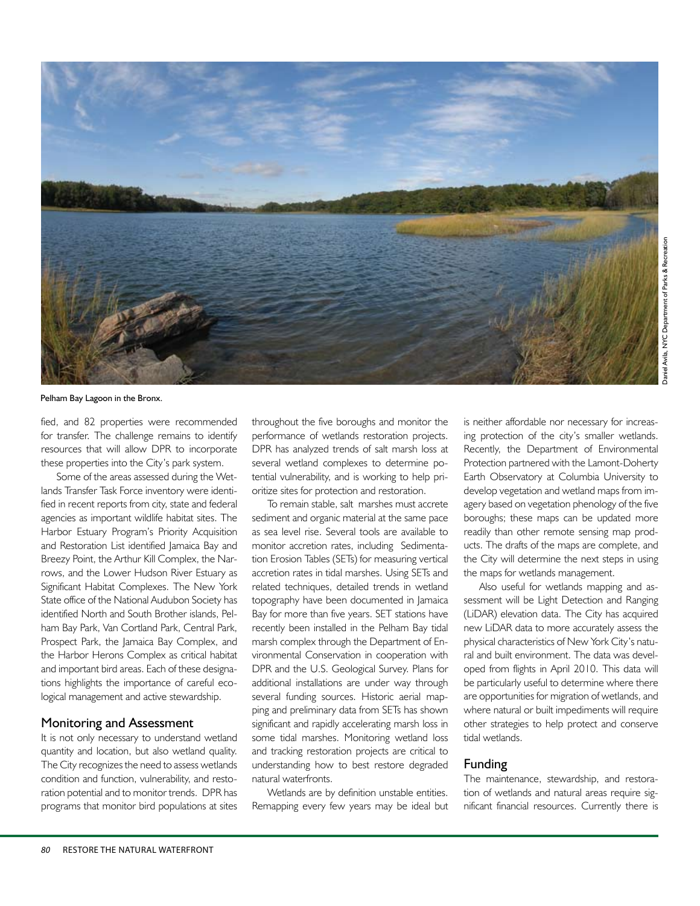

Pelham Bay Lagoon in the Bronx.

fied, and 82 properties were recommended for transfer. The challenge remains to identify resources that will allow DPR to incorporate these properties into the City's park system.

Some of the areas assessed during the Wetlands Transfer Task Force inventory were identified in recent reports from city, state and federal agencies as important wildlife habitat sites. The Harbor Estuary Program's Priority Acquisition and Restoration List identified Jamaica Bay and Breezy Point, the Arthur Kill Complex, the Narrows, and the Lower Hudson River Estuary as Significant Habitat Complexes. The New York State office of the National Audubon Society has identified North and South Brother islands, Pelham Bay Park, Van Cortland Park, Central Park, Prospect Park, the Jamaica Bay Complex, and the Harbor Herons Complex as critical habitat and important bird areas. Each of these designations highlights the importance of careful ecological management and active stewardship.

#### Monitoring and Assessment

It is not only necessary to understand wetland quantity and location, but also wetland quality. The City recognizes the need to assess wetlands condition and function, vulnerability, and restoration potential and to monitor trends. DPR has programs that monitor bird populations at sites throughout the five boroughs and monitor the performance of wetlands restoration projects. DPR has analyzed trends of salt marsh loss at several wetland complexes to determine potential vulnerability, and is working to help prioritize sites for protection and restoration.

To remain stable, salt marshes must accrete sediment and organic material at the same pace as sea level rise. Several tools are available to monitor accretion rates, including Sedimentation Erosion Tables (SETs) for measuring vertical accretion rates in tidal marshes. Using SETs and related techniques, detailed trends in wetland topography have been documented in Jamaica Bay for more than five years. SET stations have recently been installed in the Pelham Bay tidal marsh complex through the Department of Environmental Conservation in cooperation with DPR and the U.S. Geological Survey. Plans for additional installations are under way through several funding sources. Historic aerial mapping and preliminary data from SETs has shown significant and rapidly accelerating marsh loss in some tidal marshes. Monitoring wetland loss and tracking restoration projects are critical to understanding how to best restore degraded natural waterfronts.

Wetlands are by definition unstable entities. Remapping every few years may be ideal but is neither affordable nor necessary for increasing protection of the city's smaller wetlands. Recently, the Department of Environmental Protection partnered with the Lamont-Doherty Earth Observatory at Columbia University to develop vegetation and wetland maps from imagery based on vegetation phenology of the five boroughs; these maps can be updated more readily than other remote sensing map products. The drafts of the maps are complete, and the City will determine the next steps in using the maps for wetlands management.

Also useful for wetlands mapping and assessment will be Light Detection and Ranging (LiDAR) elevation data. The City has acquired new LiDAR data to more accurately assess the physical characteristics of New York City's natural and built environment. The data was developed from flights in April 2010. This data will be particularly useful to determine where there are opportunities for migration of wetlands, and where natural or built impediments will require other strategies to help protect and conserve tidal wetlands.

#### Funding

The maintenance, stewardship, and restoration of wetlands and natural areas require significant financial resources. Currently there is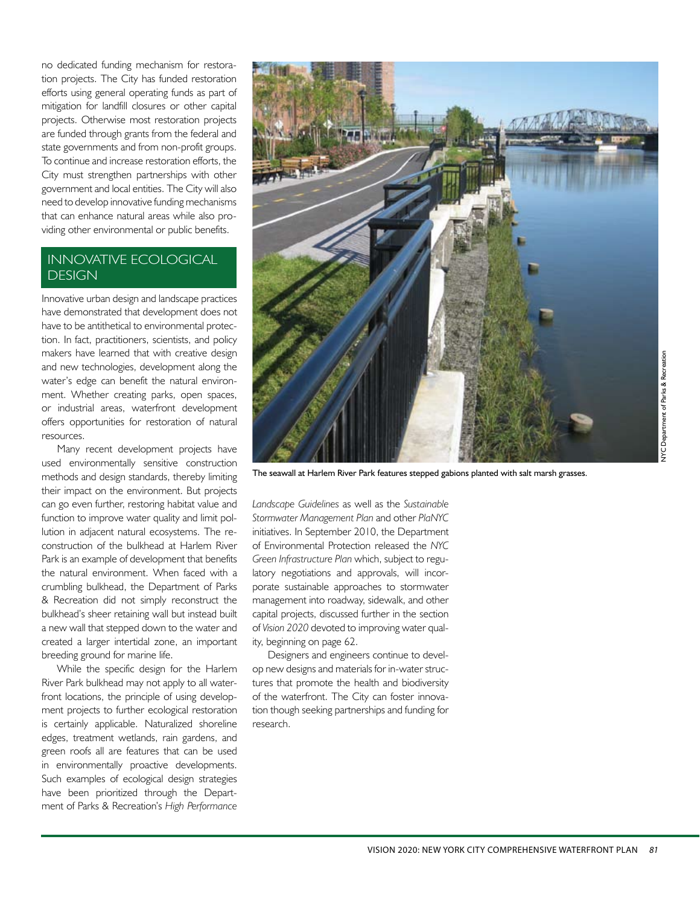no dedicated funding mechanism for restoration projects. The City has funded restoration efforts using general operating funds as part of mitigation for landfill closures or other capital projects. Otherwise most restoration projects are funded through grants from the federal and state governments and from non-profit groups. To continue and increase restoration efforts, the City must strengthen partnerships with other government and local entities. The City will also need to develop innovative funding mechanisms that can enhance natural areas while also providing other environmental or public benefits.

#### INNOVATIVE ECOLOGICAL DESIGN

Innovative urban design and landscape practices have demonstrated that development does not have to be antithetical to environmental protection. In fact, practitioners, scientists, and policy makers have learned that with creative design and new technologies, development along the water's edge can benefit the natural environment. Whether creating parks, open spaces, or industrial areas, waterfront development offers opportunities for restoration of natural resources.

Many recent development projects have used environmentally sensitive construction methods and design standards, thereby limiting their impact on the environment. But projects can go even further, restoring habitat value and function to improve water quality and limit pollution in adjacent natural ecosystems. The reconstruction of the bulkhead at Harlem River Park is an example of development that benefits the natural environment. When faced with a crumbling bulkhead, the Department of Parks & Recreation did not simply reconstruct the bulkhead's sheer retaining wall but instead built a new wall that stepped down to the water and created a larger intertidal zone, an important breeding ground for marine life.

While the specific design for the Harlem River Park bulkhead may not apply to all waterfront locations, the principle of using development projects to further ecological restoration is certainly applicable. Naturalized shoreline edges, treatment wetlands, rain gardens, and green roofs all are features that can be used in environmentally proactive developments. Such examples of ecological design strategies have been prioritized through the Department of Parks & Recreation's *High Performance* 



The seawall at Harlem River Park features stepped gabions planted with salt marsh grasses.

*Landscape Guidelines* as well as the *Sustainable Stormwater Management Plan* and other *PlaNYC* initiatives. In September 2010, the Department of Environmental Protection released the *NYC Green Infrastructure Plan* which, subject to regulatory negotiations and approvals, will incorporate sustainable approaches to stormwater management into roadway, sidewalk, and other capital projects, discussed further in the section of *Vision 2020* devoted to improving water quality, beginning on page 62.

Designers and engineers continue to develop new designs and materials for in-water structures that promote the health and biodiversity of the waterfront. The City can foster innovation though seeking partnerships and funding for research.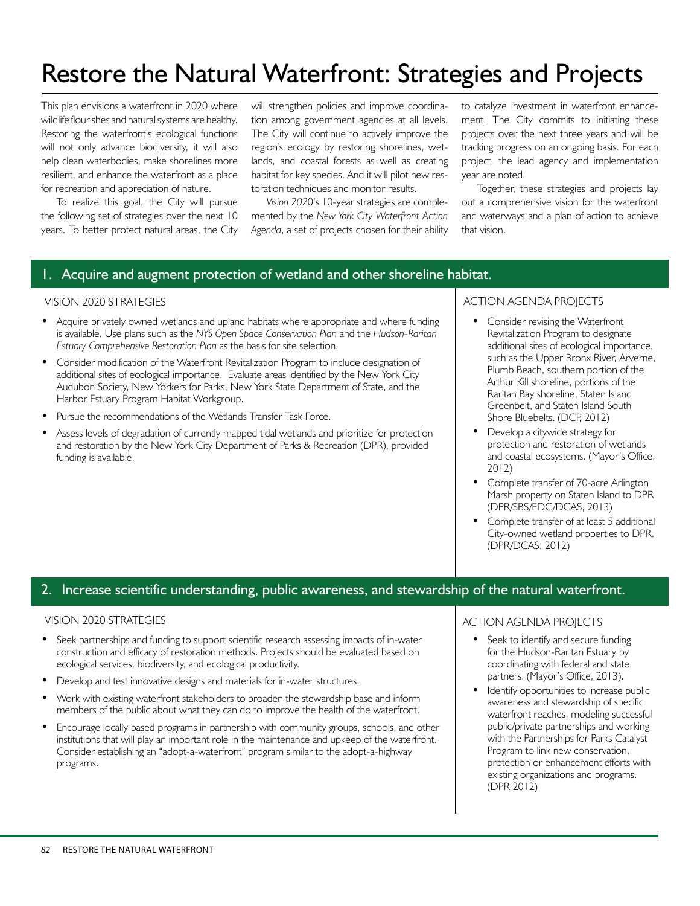### Restore the Natural Waterfront: Strategies and Projects

This plan envisions a waterfront in 2020 where wildlife flourishes and natural systems are healthy. Restoring the waterfront's ecological functions will not only advance biodiversity, it will also help clean waterbodies, make shorelines more resilient, and enhance the waterfront as a place for recreation and appreciation of nature.

To realize this goal, the City will pursue the following set of strategies over the next 10 years. To better protect natural areas, the City will strengthen policies and improve coordination among government agencies at all levels. The City will continue to actively improve the region's ecology by restoring shorelines, wetlands, and coastal forests as well as creating habitat for key species. And it will pilot new restoration techniques and monitor results.

*Vision 202*0's 10-year strategies are complemented by the *New York City Waterfront Action Agenda*, a set of projects chosen for their ability to catalyze investment in waterfront enhancement. The City commits to initiating these projects over the next three years and will be tracking progress on an ongoing basis. For each project, the lead agency and implementation year are noted.

Together, these strategies and projects lay out a comprehensive vision for the waterfront and waterways and a plan of action to achieve that vision.

#### 1. Acquire and augment protection of wetland and other shoreline habitat.

#### VISION 2020 STRATEGIES

- Acquire privately owned wetlands and upland habitats where appropriate and where funding is available. Use plans such as the *NYS Open Space Conservation Plan* and the *Hudson-Raritan Estuary Comprehensive Restoration Plan* as the basis for site selection.
- Consider modification of the Waterfront Revitalization Program to include designation of additional sites of ecological importance. Evaluate areas identified by the New York City Audubon Society, New Yorkers for Parks, New York State Department of State, and the Harbor Estuary Program Habitat Workgroup.
- Pursue the recommendations of the Wetlands Transfer Task Force.
- Assess levels of degradation of currently mapped tidal wetlands and prioritize for protection and restoration by the New York City Department of Parks & Recreation (DPR), provided funding is available.

#### ACTION AGENDA PROJECTS

- Consider revising the Waterfront Revitalization Program to designate additional sites of ecological importance, such as the Upper Bronx River, Arverne, Plumb Beach, southern portion of the Arthur Kill shoreline, portions of the Raritan Bay shoreline, Staten Island Greenbelt, and Staten Island South Shore Bluebelts. (DCP, 2012)
- Develop a citywide strategy for protection and restoration of wetlands and coastal ecosystems. (Mayor's Office, 2012)
- Complete transfer of 70-acre Arlington Marsh property on Staten Island to DPR (DPR/SBS/EDC/DCAS, 2013)
- Complete transfer of at least 5 additional City-owned wetland properties to DPR. (DPR/DCAS, 2012)

#### 2. Increase scientific understanding, public awareness, and stewardship of the natural waterfront.

#### VISION 2020 STRATEGIES

- Seek partnerships and funding to support scientific research assessing impacts of in-water construction and efficacy of restoration methods. Projects should be evaluated based on ecological services, biodiversity, and ecological productivity.
- Develop and test innovative designs and materials for in-water structures.
- Work with existing waterfront stakeholders to broaden the stewardship base and inform members of the public about what they can do to improve the health of the waterfront.
- Encourage locally based programs in partnership with community groups, schools, and other institutions that will play an important role in the maintenance and upkeep of the waterfront. Consider establishing an "adopt-a-waterfront" program similar to the adopt-a-highway programs.

#### ACTION AGENDA PROJECTS

- Seek to identify and secure funding for the Hudson-Raritan Estuary by coordinating with federal and state partners. (Mayor's Office, 2013).
- Identify opportunities to increase public awareness and stewardship of specific waterfront reaches, modeling successful public/private partnerships and working with the Partnerships for Parks Catalyst Program to link new conservation, protection or enhancement efforts with existing organizations and programs. (DPR 2012)